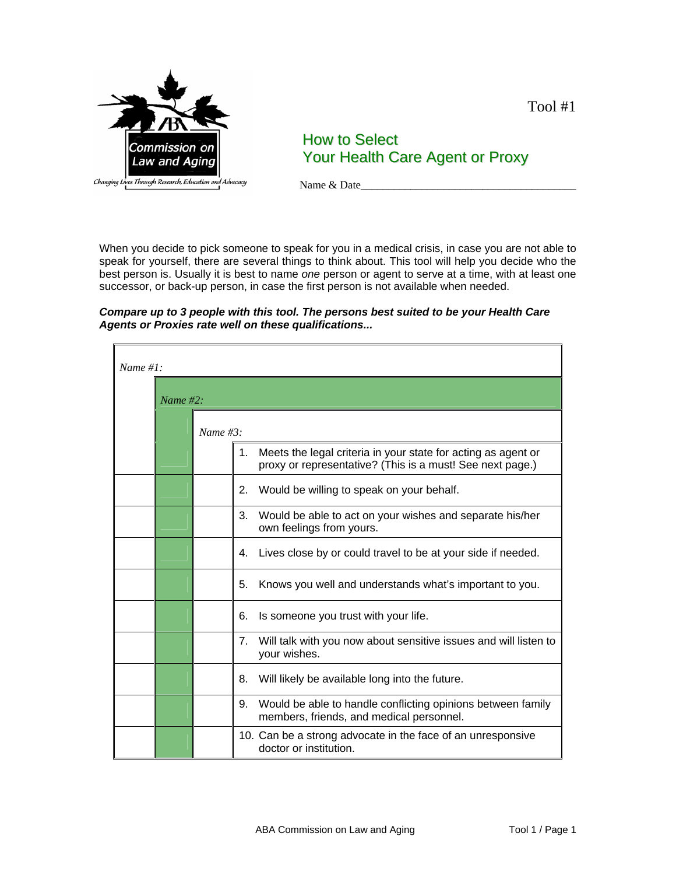

Tool #1

# How to Select Your Health Care Agent or Proxy

Name & Date\_\_\_\_\_\_\_\_\_\_\_\_\_\_\_\_\_\_\_\_\_\_\_\_\_\_\_\_\_\_\_\_\_\_\_\_\_\_\_

When you decide to pick someone to speak for you in a medical crisis, in case you are not able to speak for yourself, there are several things to think about. This tool will help you decide who the best person is. Usually it is best to name *one* person or agent to serve at a time, with at least one successor, or back-up person, in case the first person is not available when needed.

#### *Compare up to 3 people with this tool. The persons best suited to be your Health Care Agents or Proxies rate well on these qualifications...*

| Name #1: |          |             |                                                                                                                                  |  |
|----------|----------|-------------|----------------------------------------------------------------------------------------------------------------------------------|--|
|          | Name #2: |             |                                                                                                                                  |  |
|          |          | Name $#3$ : |                                                                                                                                  |  |
|          |          |             | Meets the legal criteria in your state for acting as agent or<br>1.<br>proxy or representative? (This is a must! See next page.) |  |
|          |          |             | Would be willing to speak on your behalf.<br>2.                                                                                  |  |
|          |          |             | 3.<br>Would be able to act on your wishes and separate his/her<br>own feelings from yours.                                       |  |
|          |          |             | Lives close by or could travel to be at your side if needed.<br>4.                                                               |  |
|          |          |             | 5.<br>Knows you well and understands what's important to you.                                                                    |  |
|          |          |             | Is someone you trust with your life.<br>6.                                                                                       |  |
|          |          |             | Will talk with you now about sensitive issues and will listen to<br>7.<br>your wishes.                                           |  |
|          |          |             | Will likely be available long into the future.<br>8.                                                                             |  |
|          |          |             | Would be able to handle conflicting opinions between family<br>9.<br>members, friends, and medical personnel.                    |  |
|          |          |             | 10. Can be a strong advocate in the face of an unresponsive<br>doctor or institution.                                            |  |